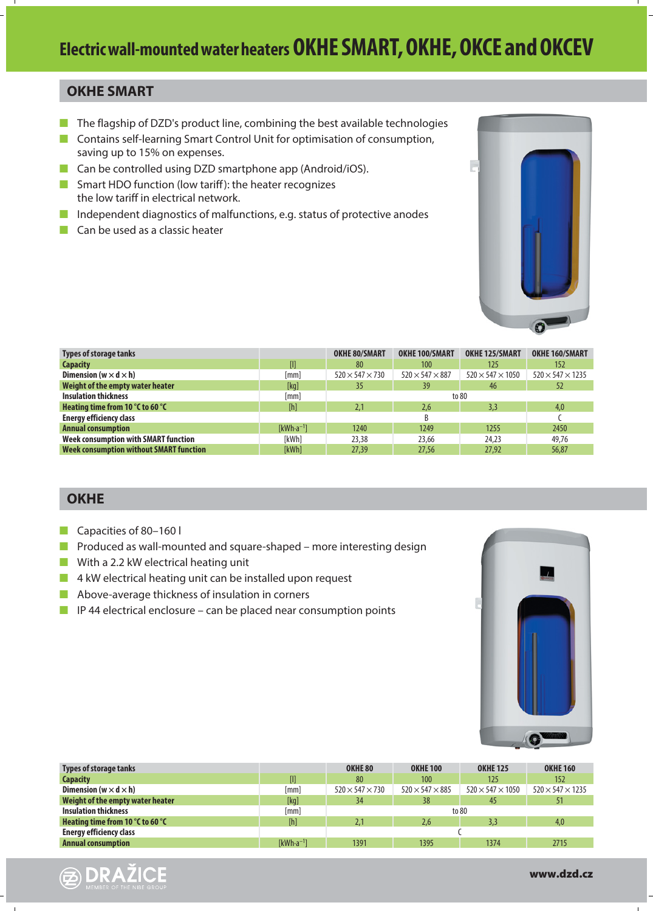#### **OKHE SMART**

- **The flagship of DZD's product line, combining the best available technologies**
- **E** Contains self-learning Smart Control Unit for optimisation of consumption, saving up to 15% on expenses.
- **E** Can be controlled using DZD smartphone app (Android/iOS).
- **E** Smart HDO function (low tariff): the heater recognizes the low tariff in electrical network.
- -Independent diagnostics of malfunctions, e.g. status of protective anodes
- **Can be used as a classic heater**



| <b>Types of storage tanks</b>                  |                | <b>OKHE 80/SMART</b>        | <b>OKHE 100/SMART</b>       | <b>OKHE 125/SMART</b>        | <b>OKHE 160/SMART</b>        |
|------------------------------------------------|----------------|-----------------------------|-----------------------------|------------------------------|------------------------------|
| <b>Capacity</b>                                | O              | 80                          | 100                         | 125                          | 152                          |
| Dimension (w $\times$ d $\times$ h)            | [mm]           | $520 \times 547 \times 730$ | $520 \times 547 \times 887$ | $520 \times 547 \times 1050$ | $520 \times 547 \times 1235$ |
| Weight of the empty water heater               | [kq]           | 35                          | 39                          | 46                           | 52                           |
| <b>Insulation thickness</b>                    | [mm]           |                             |                             | to 80                        |                              |
| Heating time from 10 °C to 60 °C               | [h]            | 2.1                         | 2.6                         | 3.3                          | 4,0                          |
| <b>Energy efficiency class</b>                 |                |                             |                             |                              |                              |
| <b>Annual consumption</b>                      | $[kWh-a^{-1}]$ | 1240                        | 1249                        | 1255                         | 2450                         |
| Week consumption with SMART function           | <b>TkWh1</b>   | 23,38                       | 23,66                       | 24.23                        | 49.76                        |
| <b>Week consumption without SMART function</b> | [kWh]          | 27,39                       | 27,56                       | 27.92                        | 56,87                        |
|                                                |                |                             |                             |                              |                              |

#### **OKHE**

- **Capacities of 80-160 l**
- **E** Produced as wall-mounted and square-shaped more interesting design
- **Now With a 2.2 kW electrical heating unit**
- **4 kW electrical heating unit can be installed upon request**
- **Above-average thickness of insulation in corners**
- **I** IP 44 electrical enclosure can be placed near consumption points



| Types of storage tanks              |                | OKHE 80                     | <b>OKHE 100</b>             | <b>OKHE 125</b>              | <b>OKHE 160</b>              |
|-------------------------------------|----------------|-----------------------------|-----------------------------|------------------------------|------------------------------|
| <b>Capacity</b>                     | []             | 80                          | 100                         | 125                          | 152                          |
| Dimension (w $\times$ d $\times$ h) | [mm]           | $520 \times 547 \times 730$ | $520 \times 547 \times 885$ | $520 \times 547 \times 1050$ | $520 \times 547 \times 1235$ |
| Weight of the empty water heater    | [kg]           | 34                          | 38                          | 45                           | 51                           |
| <b>Insulation thickness</b>         | [mm]           |                             |                             | to 80                        |                              |
| Heating time from 10 °C to 60 °C    | [h]            | 2.1                         | 2.6                         | 3.3                          | 4,0                          |
| <b>Energy efficiency class</b>      |                |                             |                             |                              |                              |
| <b>Annual consumption</b>           | $[kWh-a^{-1}]$ | 1391                        | 1395                        | 1374                         | 2715                         |
|                                     |                |                             |                             |                              |                              |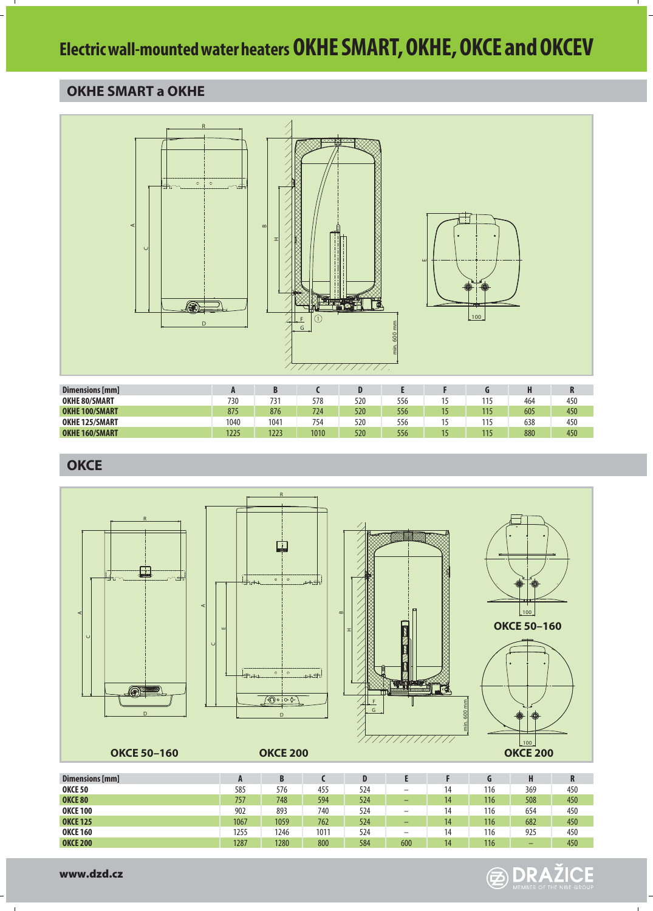#### **OKHE SMART a OKHE**



| Dimensions [mm]       | Л    | B    |      |     |     |    |     |     |     |
|-----------------------|------|------|------|-----|-----|----|-----|-----|-----|
| <b>OKHE 80/SMART</b>  | 730  | 731  | 578  | 520 | 556 |    | 115 | 464 | 450 |
| <b>OKHE 100/SMART</b> | 875  | 876  | 724  | 520 | 556 | 15 | 115 | 605 | 450 |
| <b>OKHE 125/SMART</b> | 1040 | 1041 | 754  | 520 | 556 |    | 115 | 638 | 450 |
| <b>OKHE 160/SMART</b> | 1225 | 1223 | 1010 | 520 | 556 | 15 | 115 | 880 | 450 |
|                       |      |      |      |     |     |    |     |     |     |

**OKCE**



| Dimensions [mm] |      | В    |      |     |                          |    | u   | H   | R   |
|-----------------|------|------|------|-----|--------------------------|----|-----|-----|-----|
| <b>OKCE 50</b>  | 585  | 576  | 455  | 524 | $\overline{\phantom{a}}$ | 14 | 116 | 369 | 450 |
| OKCE 80         | 757  | 748  | 594  | 524 | -                        | 14 | 116 | 508 | 450 |
| <b>OKCE 100</b> | 902  | 893  | 740  | 524 | -                        | 14 | 116 | 654 | 450 |
| <b>OKCE 125</b> | 1067 | 1059 | 762  | 524 | -                        | 14 | 116 | 682 | 450 |
| <b>OKCE 160</b> | 1255 | 1246 | 1011 | 524 | -                        | 14 | 116 | 925 | 450 |
| <b>OKCE 200</b> | 1287 | 1280 | 800  | 584 | 600                      | 14 | 116 | -   | 450 |
|                 |      |      |      |     |                          |    |     |     |     |

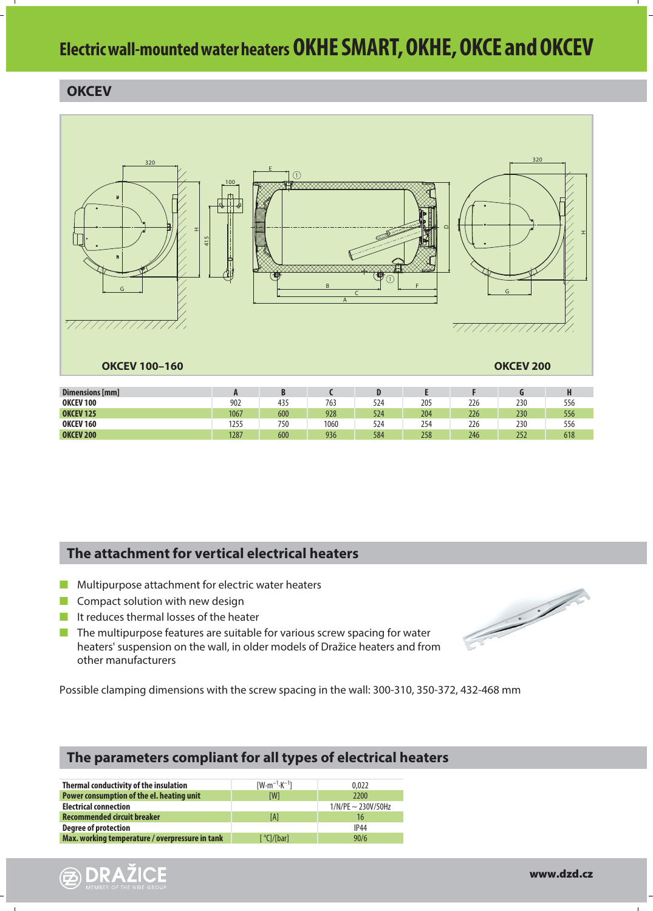#### **OKCEV**



| <b>OKCEV 125</b> | 1067 | 600 | 928  | 524 | 204 | 226 | 230 | 556 |
|------------------|------|-----|------|-----|-----|-----|-----|-----|
| <b>OKCEV 160</b> | 1255 | 750 | 1060 | 524 | 254 | 226 | 230 | 556 |
| <b>OKCEV 200</b> | 1287 | 600 | 936  | 584 | 258 | 246 | 252 | 618 |
|                  |      |     |      |     |     |     |     |     |
|                  |      |     |      |     |     |     |     |     |

#### **The attachment for vertical electrical heaters**

- **I** Multipurpose attachment for electric water heaters
- $\mathbb{R}^2$ Compact solution with new design

**B** DRAŽICE

- I It reduces thermal losses of the heater
- **The multipurpose features are suitable for various screw spacing for water** heaters' suspension on the wall, in older models of Dražice heaters and from other manufacturers

Possible clamping dimensions with the screw spacing in the wall: 300-310, 350-372, 432-468 mm

#### **The parameters compliant for all types of electrical heaters**

| Thermal conductivity of the insulation          | $[W \cdot m^{-1} \cdot K^{-1}]$ | 0.022                   |
|-------------------------------------------------|---------------------------------|-------------------------|
| Power consumption of the el. heating unit       | [W]                             | 2200                    |
| <b>Electrical connection</b>                    |                                 | $1/N/PE \sim 230V/50Hz$ |
| Recommended circuit breaker                     | [A]                             | 16                      |
| <b>Degree of protection</b>                     |                                 | <b>IP44</b>             |
| Max. working temperature / overpressure in tank | [ °Cl/[bar]                     | 90/6                    |
|                                                 |                                 |                         |